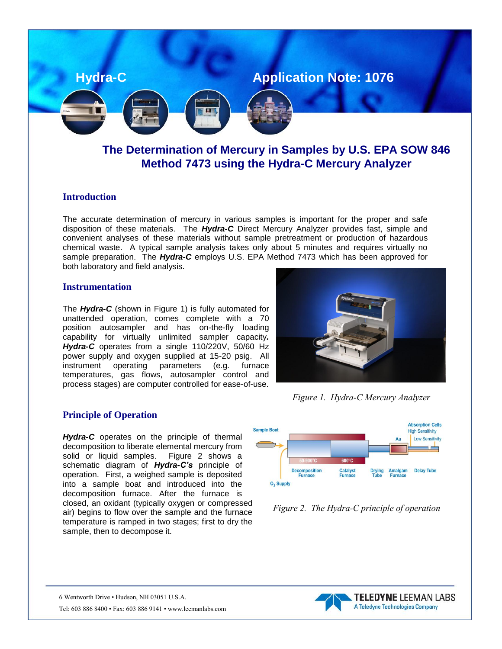

# **The Determination of Mercury in Samples by U.S. EPA SOW 846 Method 7473 using the Hydra-C Mercury Analyzer**

### **Introduction**

The accurate determination of mercury in various samples is important for the proper and safe disposition of these materials. The *Hydra-C* Direct Mercury Analyzer provides fast, simple and convenient analyses of these materials without sample pretreatment or production of hazardous chemical waste. A typical sample analysis takes only about 5 minutes and requires virtually no sample preparation. The *Hydra-C* employs U.S. EPA Method 7473 which has been approved for both laboratory and field analysis.

#### **Instrumentation**

The *Hydra-C* (shown in Figure 1) is fully automated for unattended operation, comes complete with a 70 position autosampler and has on-the-fly loading capability for virtually unlimited sampler capacity*. Hydra-C* operates from a single 110/220V, 50/60 Hz power supply and oxygen supplied at 15-20 psig. All instrument operating parameters (e.g. furnace temperatures, gas flows, autosampler control and process stages) are computer controlled for ease-of-use.

#### **Principle of Operation**

*Hydra-C* operates on the principle of thermal decomposition to liberate elemental mercury from solid or liquid samples. Figure 2 shows a schematic diagram of *Hydra-C's* principle of operation. First, a weighed sample is deposited into a sample boat and introduced into the decomposition furnace. After the furnace is closed, an oxidant (typically oxygen or compressed air) begins to flow over the sample and the furnace temperature is ramped in two stages; first to dry the sample, then to decompose it.



### *Figure 1. Hydra-C Mercury Analyzer*



*Figure 2. The Hydra-C principle of operation*

6 Wentworth Drive • Hudson, NH 03051 U.S.A. Tel: 603 886 8400 • Fax: 603 886 9141 • www.leemanlabs.com

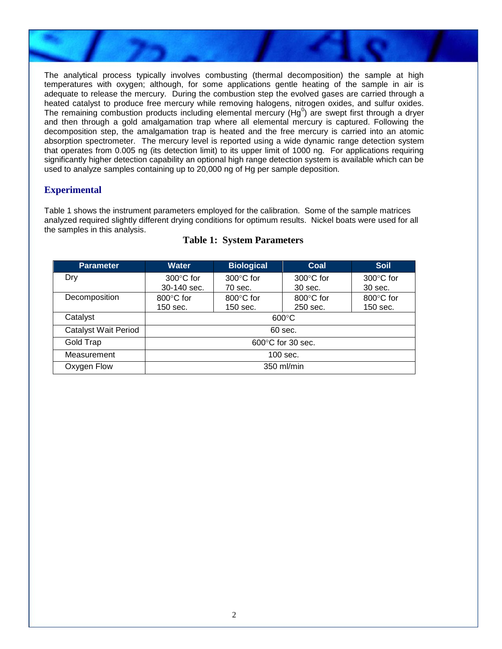

The analytical process typically involves combusting (thermal decomposition) the sample at high temperatures with oxygen; although, for some applications gentle heating of the sample in air is adequate to release the mercury. During the combustion step the evolved gases are carried through a heated catalyst to produce free mercury while removing halogens, nitrogen oxides, and sulfur oxides. The remaining combustion products including elemental mercury (Hg<sup>0</sup>) are swept first through a dryer and then through a gold amalgamation trap where all elemental mercury is captured. Following the decomposition step, the amalgamation trap is heated and the free mercury is carried into an atomic absorption spectrometer. The mercury level is reported using a wide dynamic range detection system that operates from 0.005 ng (its detection limit) to its upper limit of 1000 ng. For applications requiring significantly higher detection capability an optional high range detection system is available which can be used to analyze samples containing up to 20,000 ng of Hg per sample deposition.

# **Experimental**

Table 1 shows the instrument parameters employed for the calibration. Some of the sample matrices analyzed required slightly different drying conditions for optimum results. Nickel boats were used for all the samples in this analysis.

| <b>Parameter</b>            | <b>Water</b>                | <b>Biological</b> | Coal                | <b>Soil</b>         |
|-----------------------------|-----------------------------|-------------------|---------------------|---------------------|
| Dry                         | $300^{\circ}$ C for         | 300°C for         | $300^{\circ}$ C for | $300^{\circ}$ C for |
|                             | 30-140 sec.                 | 70 sec.           | 30 sec.             | 30 sec.             |
| Decomposition               | 800°C for                   | 800°C for         | 800°C for           | 800°C for           |
|                             | 150 sec.                    | 150 sec.          | 250 sec.            | 150 sec.            |
| Catalyst                    | $600^{\circ}$ C             |                   |                     |                     |
| <b>Catalyst Wait Period</b> | 60 sec.                     |                   |                     |                     |
| Gold Trap                   | $600^{\circ}$ C for 30 sec. |                   |                     |                     |
| Measurement                 | $100$ sec.                  |                   |                     |                     |
| Oxygen Flow                 | 350 ml/min                  |                   |                     |                     |

### **Table 1: System Parameters**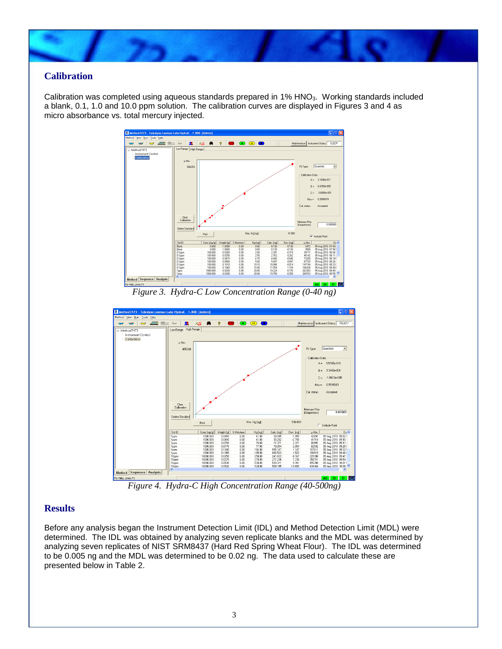

## **Calibration**

Calibration was completed using aqueous standards prepared in 1% HNO<sub>3</sub>. Working standards included a blank, 0.1, 1.0 and 10.0 ppm solution. The calibration curves are displayed in Figures 3 and 4 as micro absorbance vs. total mercury injected.



*Figure 3. Hydra-C Low Concentration Range (0-40 ng)*



*Figure 4. Hydra-C High Concentration Range (40-500ng)*

# **Results**

Before any analysis began the Instrument Detection Limit (IDL) and Method Detection Limit (MDL) were determined. The IDL was obtained by analyzing seven replicate blanks and the MDL was determined by analyzing seven replicates of NIST SRM8437 (Hard Red Spring Wheat Flour). The IDL was determined to be 0.005 ng and the MDL was determined to be 0.02 ng. The data used to calculate these are presented below in Table 2.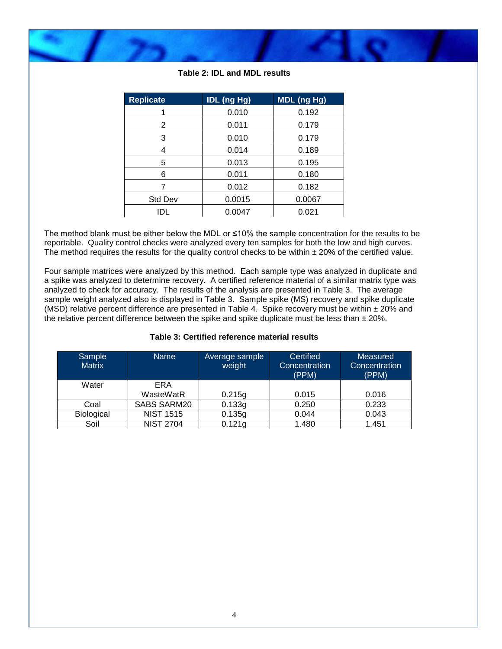

| <b>Replicate</b> | <b>IDL (ng Hg)</b> | <b>MDL</b> (ng Hg) |  |
|------------------|--------------------|--------------------|--|
|                  | 0.010              | 0.192              |  |
| 2                | 0.011              | 0.179              |  |
| 3                | 0.010              | 0.179              |  |
| 4                | 0.014              | 0.189              |  |
| 5                | 0.013              | 0.195              |  |
| 6                | 0.011              | 0.180              |  |
|                  | 0.012              | 0.182              |  |
| Std Dev          | 0.0015             | 0.0067             |  |
| IDL              | 0.0047             | 0.021              |  |
|                  |                    |                    |  |

**Table 2: IDL and MDL results**

The method blank must be either below the MDL or ≤10% the sample concentration for the results to be reportable. Quality control checks were analyzed every ten samples for both the low and high curves. The method requires the results for the quality control checks to be within  $\pm$  20% of the certified value.

Four sample matrices were analyzed by this method. Each sample type was analyzed in duplicate and a spike was analyzed to determine recovery. A certified reference material of a similar matrix type was analyzed to check for accuracy. The results of the analysis are presented in Table 3. The average sample weight analyzed also is displayed in Table 3. Sample spike (MS) recovery and spike duplicate (MSD) relative percent difference are presented in Table 4. Spike recovery must be within  $\pm 20\%$  and the relative percent difference between the spike and spike duplicate must be less than  $\pm 20\%$ .

#### **Table 3: Certified reference material results**

| Sample<br><b>Matrix</b> | <b>Name</b>      | Average sample<br>weight | Certified<br>Concentration<br>(PPM) | Measured<br>Concentration<br>(PPM) |
|-------------------------|------------------|--------------------------|-------------------------------------|------------------------------------|
| Water                   | ERA              |                          |                                     |                                    |
|                         | WasteWatR        | 0.215g                   | 0.015                               | 0.016                              |
| Coal                    | SABS SARM20      | 0.133g                   | 0.250                               | 0.233                              |
| Biological              | <b>NIST 1515</b> | 0.135g                   | 0.044                               | 0.043                              |
| Soil                    | <b>NIST 2704</b> | 0.121g                   | 1.480                               | 1.451                              |